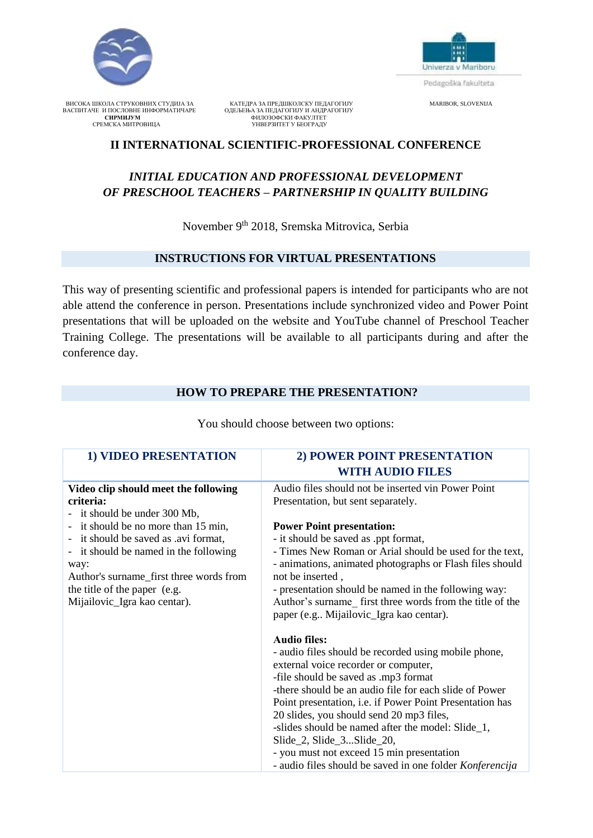



 ВИСОКА ШКОЛА СТРУКОВНИХ СТУДИЈА ЗА КАТЕДРА ЗА ПРЕДШКОЛСКУ ПЕДАГОГИЈУ MARIBOR, SLOVENIJA ВАСПИТАЧЕ И ПОСЛОВНЕ ИНФОРМАТИЧАРЕ ОДЕЉЕЊА ЗА ПЕДАГОГИЈУ И АНДРАГОГИЈУ **СИРМИЈУМ** ФИЛОЗОФСКИ ФАКУЛТЕТ СРЕМСКА МИТРОВИЦА УНВЕРЗИТЕТ У БЕОГРАДУ

## **II INTERNATIONAL SCIENTIFIC-PROFESSIONAL CONFERENCE**

# *INITIAL EDUCATION AND PROFESSIONAL DEVELOPMENT OF PRESCHOOL TEACHERS – PARTNERSHIP IN QUALITY BUILDING*

November 9<sup>th</sup> 2018, Sremska Mitrovica, Serbia

#### **INSTRUCTIONS FOR VIRTUAL PRESENTATIONS**

This way of presenting scientific and professional papers is intended for participants who are not able attend the conference in person. Presentations include synchronized video and Power Point presentations that will be uploaded on the website and YouTube channel of Preschool Teacher Training College. The presentations will be available to all participants during and after the conference day.

#### **HOW TO PREPARE THE PRESENTATION?**

| <b>1) VIDEO PRESENTATION</b>                | 2) POWER POINT PRESENTATION                                                                                         |
|---------------------------------------------|---------------------------------------------------------------------------------------------------------------------|
|                                             | <b>WITH AUDIO FILES</b>                                                                                             |
| Video clip should meet the following        | Audio files should not be inserted vin Power Point                                                                  |
| criteria:                                   | Presentation, but sent separately.                                                                                  |
| it should be under 300 Mb,                  |                                                                                                                     |
| it should be no more than 15 min,<br>$\sim$ | <b>Power Point presentation:</b>                                                                                    |
| it should be saved as .avi format,          | - it should be saved as .ppt format,                                                                                |
| it should be named in the following<br>way: | - Times New Roman or Arial should be used for the text,<br>- animations, animated photographs or Flash files should |
| Author's surname_first three words from     | not be inserted,                                                                                                    |
| the title of the paper (e.g.                | - presentation should be named in the following way:                                                                |
| Mijailovic_Igra kao centar).                | Author's surname first three words from the title of the<br>paper (e.g Mijailovic_Igra kao centar).                 |
|                                             | <b>Audio files:</b>                                                                                                 |
|                                             | - audio files should be recorded using mobile phone,                                                                |
|                                             | external voice recorder or computer,                                                                                |
|                                             | -file should be saved as .mp3 format                                                                                |
|                                             | -there should be an audio file for each slide of Power                                                              |
|                                             | Point presentation, i.e. if Power Point Presentation has                                                            |
|                                             | 20 slides, you should send 20 mp3 files,                                                                            |
|                                             | -slides should be named after the model: Slide_1,                                                                   |
|                                             | Slide_2, Slide_3Slide_20,                                                                                           |
|                                             | - you must not exceed 15 min presentation                                                                           |
|                                             | - audio files should be saved in one folder Konferencija                                                            |

You should choose between two options: